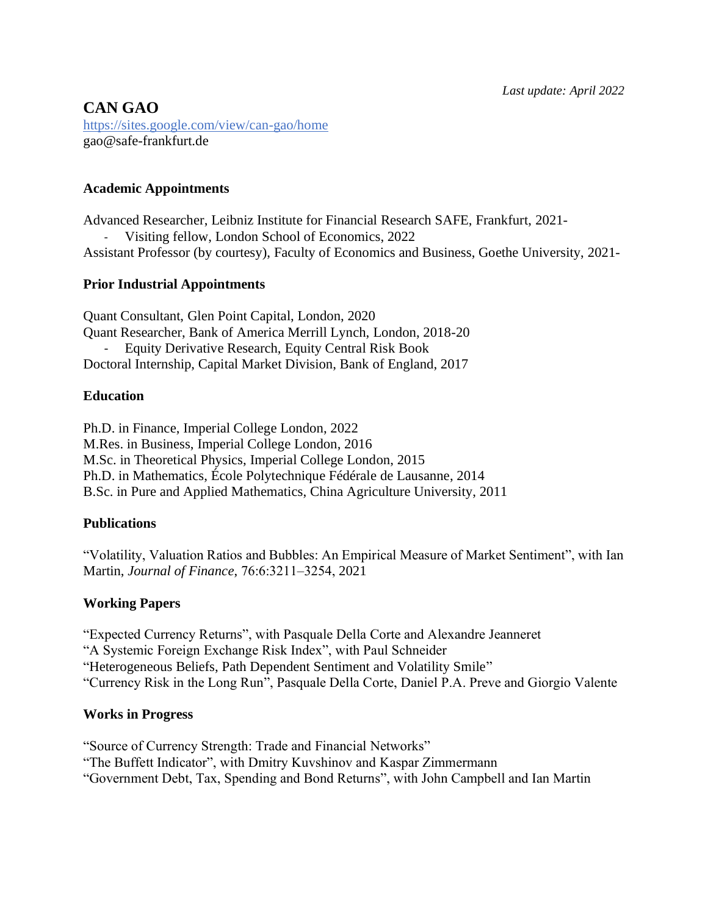# **CAN GAO** https://sites.google.com/view/can-gao/home gao@safe-frankfurt.de

## **Academic Appointments**

Advanced Researcher, Leibniz Institute for Financial Research SAFE, Frankfurt, 2021- Visiting fellow, London School of Economics, 2022 Assistant Professor (by courtesy), Faculty of Economics and Business, Goethe University, 2021-

## **Prior Industrial Appointments**

Quant Consultant, Glen Point Capital, London, 2020 Quant Researcher, Bank of America Merrill Lynch, London, 2018-20 Equity Derivative Research, Equity Central Risk Book Doctoral Internship, Capital Market Division, Bank of England, 2017

## **Education**

Ph.D. in Finance, Imperial College London, 2022 M.Res. in Business, Imperial College London, 2016 M.Sc. in Theoretical Physics, Imperial College London, 2015 Ph.D. in Mathematics, École Polytechnique Fédérale de Lausanne, 2014 B.Sc. in Pure and Applied Mathematics, China Agriculture University, 2011

## **Publications**

"Volatility, Valuation Ratios and Bubbles: An Empirical Measure of Market Sentiment", with Ian Martin, *Journal of Finance*, 76:6:3211‒3254, 2021

## **Working Papers**

"Expected Currency Returns", with Pasquale Della Corte and Alexandre Jeanneret "A Systemic Foreign Exchange Risk Index", with Paul Schneider "Heterogeneous Beliefs, Path Dependent Sentiment and Volatility Smile" "Currency Risk in the Long Run", Pasquale Della Corte, Daniel P.A. Preve and Giorgio Valente

## **Works in Progress**

"Source of Currency Strength: Trade and Financial Networks"

"The Buffett Indicator", with Dmitry Kuvshinov and Kaspar Zimmermann

"Government Debt, Tax, Spending and Bond Returns", with John Campbell and Ian Martin